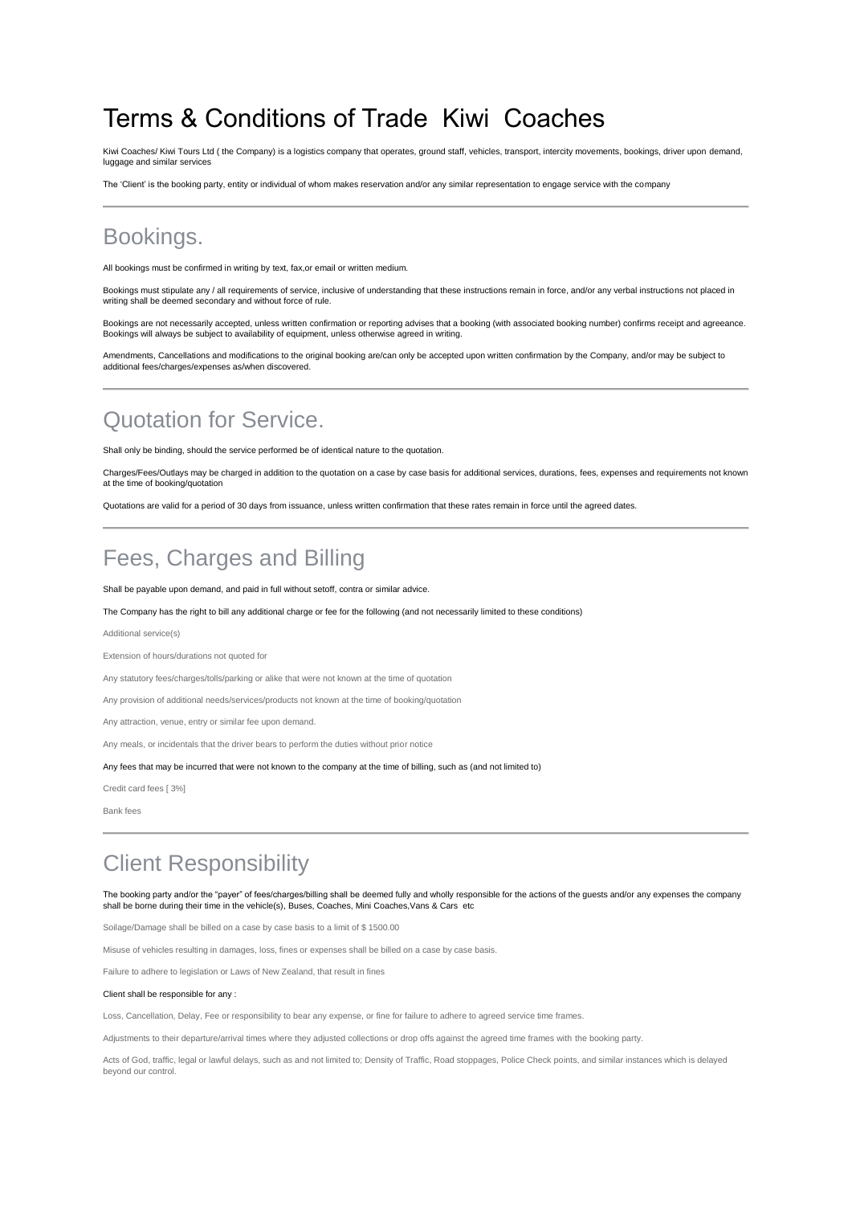# Terms & Conditions of Trade Kiwi Coaches

Kiwi Coaches/ Kiwi Tours Ltd ( the Company) is a logistics company that operates, ground staff, vehicles, transport, intercity movements, bookings, driver upon demand, luggage and similar services

The 'Client' is the booking party, entity or individual of whom makes reservation and/or any similar representation to engage service with the company

### Bookings.

All bookings must be confirmed in writing by text, fax,or email or written medium.

Bookings must stipulate any / all requirements of service, inclusive of understanding that these instructions remain in force, and/or any verbal instructions not placed in writing shall be deemed secondary and without force of rule.

Bookings are not necessarily accepted, unless written confirmation or reporting advises that a booking (with associated booking number) confirms receipt and agreeance. Bookings will always be subject to availability of equipment, unless otherwise agreed in writing.

Amendments, Cancellations and modifications to the original booking are/can only be accepted upon written confirmation by the Company, and/or may be subject to additional fees/charges/expenses as/when discovered.

### Quotation for Service.

Shall only be binding, should the service performed be of identical nature to the quotation.

Charges/Fees/Outlays may be charged in addition to the quotation on a case by case basis for additional services, durations, fees, expenses and requirements not known at the time of booking/quotation

Quotations are valid for a period of 30 days from issuance, unless written confirmation that these rates remain in force until the agreed dates.

### Fees, Charges and Billing

Shall be payable upon demand, and paid in full without setoff, contra or similar advice.

The Company has the right to bill any additional charge or fee for the following (and not necessarily limited to these conditions)

Additional service(s)

Extension of hours/durations not quoted for

Any statutory fees/charges/tolls/parking or alike that were not known at the time of quotation

Any provision of additional needs/services/products not known at the time of booking/quotation

Any attraction, venue, entry or similar fee upon demand.

Any meals, or incidentals that the driver bears to perform the duties without prior notice

Any fees that may be incurred that were not known to the company at the time of billing, such as (and not limited to)

Credit card fees [ 3%]

Bank fees

### Client Responsibility

The booking party and/or the "payer" of fees/charges/billing shall be deemed fully and wholly responsible for the actions of the guests and/or any expenses the company shall be borne during their time in the vehicle(s), Buses, Coaches, Mini Coaches,Vans & Cars etc

Soilage/Damage shall be billed on a case by case basis to a limit of \$ 1500.00

Misuse of vehicles resulting in damages, loss, fines or expenses shall be billed on a case by case basis.

Failure to adhere to legislation or Laws of New Zealand, that result in fines

#### Client shall be responsible for any :

Loss, Cancellation, Delay, Fee or responsibility to bear any expense, or fine for failure to adhere to agreed service time frames.

Adjustments to their departure/arrival times where they adjusted collections or drop offs against the agreed time frames with the booking party.

Acts of God, traffic, legal or lawful delays, such as and not limited to; Density of Traffic, Road stoppages, Police Check points, and similar instances which is delayed beyond our control.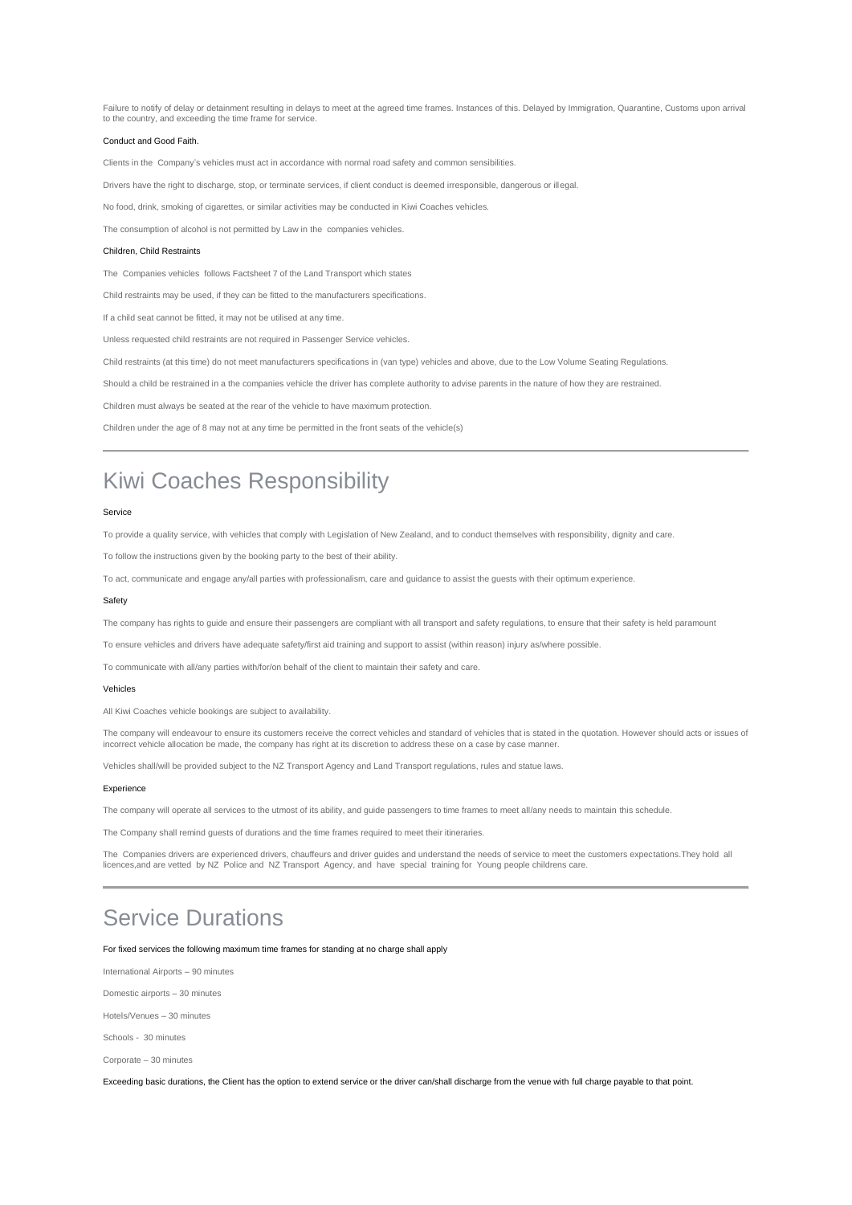Failure to notify of delay or detainment resulting in delays to meet at the agreed time frames. Instances of this. Delayed by Immigration, Quarantine, Customs upon arrival to the country, and exceeding the time frame for service.

#### Conduct and Good Faith.

Clients in the Company's vehicles must act in accordance with normal road safety and common sensibilities.

Drivers have the right to discharge, stop, or terminate services, if client conduct is deemed irresponsible, dangerous or illegal.

No food, drink, smoking of cigarettes, or similar activities may be conducted in Kiwi Coaches vehicles.

The consumption of alcohol is not permitted by Law in the companies vehicles.

#### Children, Child Restraints

The Companies vehicles follows Factsheet 7 of the Land Transport which states

Child restraints may be used, if they can be fitted to the manufacturers specifications.

If a child seat cannot be fitted, it may not be utilised at any time.

Unless requested child restraints are not required in Passenger Service vehicles.

Child restraints (at this time) do not meet manufacturers specifications in (van type) vehicles and above, due to the Low Volume Seating Regulations.

Should a child be restrained in a the companies vehicle the driver has complete authority to advise parents in the nature of how they are restrained.

Children must always be seated at the rear of the vehicle to have maximum protection.

Children under the age of 8 may not at any time be permitted in the front seats of the vehicle(s)

### Kiwi Coaches Responsibility

#### Service

To provide a quality service, with vehicles that comply with Legislation of New Zealand, and to conduct themselves with responsibility, dignity and care.

To follow the instructions given by the booking party to the best of their ability.

To act, communicate and engage any/all parties with professionalism, care and guidance to assist the guests with their optimum experience.

#### Safety

The company has rights to guide and ensure their passengers are compliant with all transport and safety regulations, to ensure that their safety is held paramount

To ensure vehicles and drivers have adequate safety/first aid training and support to assist (within reason) injury as/where possible.

To communicate with all/any parties with/for/on behalf of the client to maintain their safety and care.

#### Vehicles

All Kiwi Coaches vehicle bookings are subject to availability.

The company will endeavour to ensure its customers receive the correct vehicles and standard of vehicles that is stated in the quotation. However should acts or issues of incorrect vehicle allocation be made, the company has right at its discretion to address these on a case by case manner.

Vehicles shall/will be provided subject to the NZ Transport Agency and Land Transport regulations, rules and statue laws.

#### Experience

The company will operate all services to the utmost of its ability, and guide passengers to time frames to meet all/any needs to maintain this schedule.

The Company shall remind guests of durations and the time frames required to meet their itineraries.

The Companies drivers are experienced drivers, chauffeurs and driver guides and understand the needs of service to meet the customers expectations.They hold all licences,and are vetted by NZ Police and NZ Transport Agency, and have special training for Young people childrens care.

### Service Durations

For fixed services the following maximum time frames for standing at no charge shall apply

International Airports – 90 minutes

Domestic airports – 30 minutes

Hotels/Venues – 30 minutes

Schools - 30 minutes

Corporate – 30 minutes

Exceeding basic durations, the Client has the option to extend service or the driver can/shall discharge from the venue with full charge payable to that point.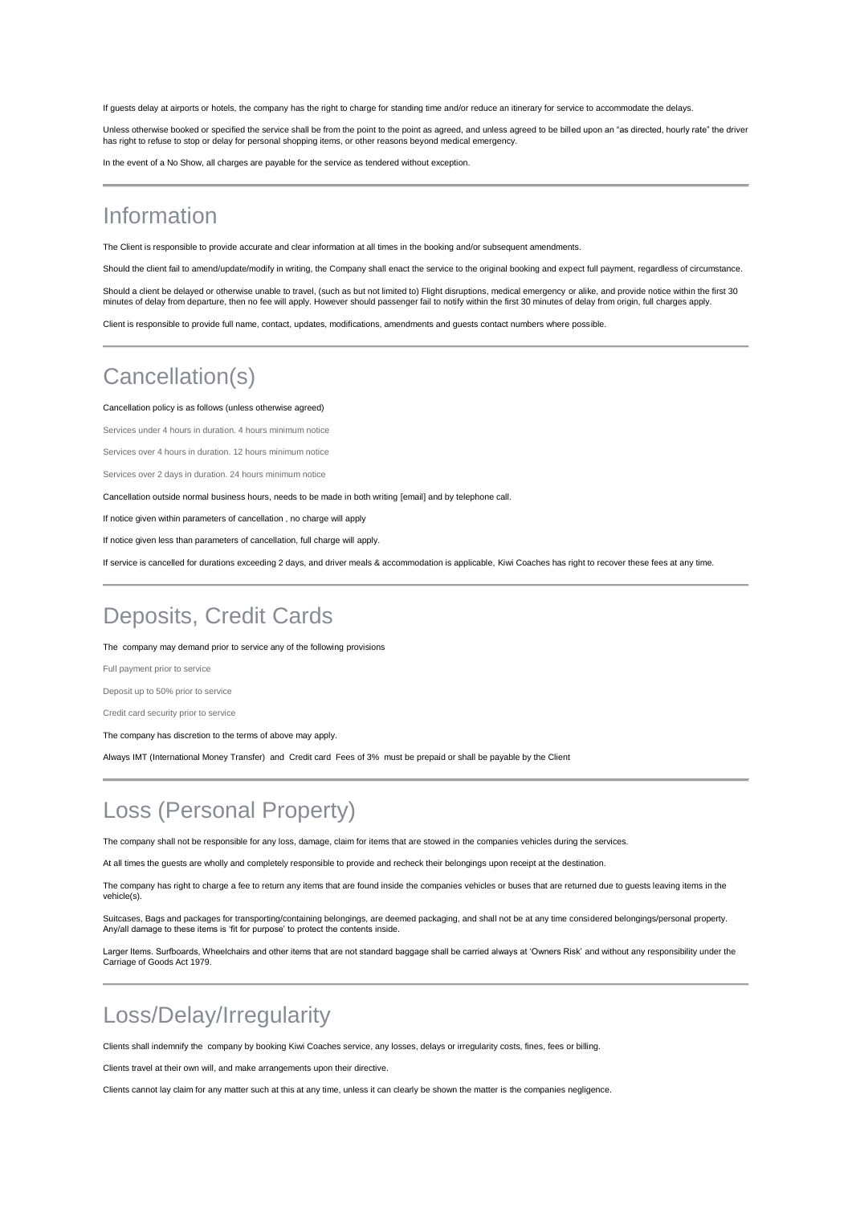If guests delay at airports or hotels, the company has the right to charge for standing time and/or reduce an itinerary for service to accommodate the delays.

Unless otherwise booked or specified the service shall be from the point to the point as agreed, and unless agreed to be billed upon an "as directed, hourly rate" the driver has right to refuse to stop or delay for personal shopping items, or other reasons beyond medical emergency.

In the event of a No Show, all charges are payable for the service as tendered without exception.

## Information

The Client is responsible to provide accurate and clear information at all times in the booking and/or subsequent amendments.

Should the client fail to amend/update/modify in writing, the Company shall enact the service to the original booking and expect full payment, regardless of circumstance.

Should a client be delayed or otherwise unable to travel, (such as but not limited to) Flight disruptions, medical emergency or alike, and provide notice within the first 30 minutes of delay from departure, then no fee will apply. However should passenger fail to notify within the first 30 minutes of delay from origin, full charges apply.

Client is responsible to provide full name, contact, updates, modifications, amendments and guests contact numbers where possible.

# Cancellation(s)

#### Cancellation policy is as follows (unless otherwise agreed)

Services under 4 hours in duration. 4 hours minimum notice

Services over 4 hours in duration. 12 hours minimum notice

Services over 2 days in duration. 24 hours minimum notice

Cancellation outside normal business hours, needs to be made in both writing [email] and by telephone call.

If notice given within parameters of cancellation , no charge will apply

If notice given less than parameters of cancellation, full charge will apply.

If service is cancelled for durations exceeding 2 days, and driver meals & accommodation is applicable, Kiwi Coaches has right to recover these fees at any time.

## Deposits, Credit Cards

The company may demand prior to service any of the following provisions

Full payment prior to service

Deposit up to 50% prior to service

Credit card security prior to service

The company has discretion to the terms of above may apply.

Always IMT (International Money Transfer) and Credit card Fees of 3% must be prepaid or shall be payable by the Client

## Loss (Personal Property)

The company shall not be responsible for any loss, damage, claim for items that are stowed in the companies vehicles during the services.

At all times the guests are wholly and completely responsible to provide and recheck their belongings upon receipt at the destination.

The company has right to charge a fee to return any items that are found inside the companies vehicles or buses that are returned due to quests leaving items in the vehicle(s).

Suitcases, Bags and packages for transporting/containing belongings, are deemed packaging, and shall not be at any time considered belongings/personal property. Any/all damage to these items is 'fit for purpose' to protect the contents inside.

Larger Items. Surfboards, Wheelchairs and other items that are not standard baggage shall be carried always at 'Owners Risk' and without any responsibility under the Carriage of Goods Act 1979.

## Loss/Delay/Irregularity

Clients shall indemnify the company by booking Kiwi Coaches service, any losses, delays or irregularity costs, fines, fees or billing.

Clients travel at their own will, and make arrangements upon their directive.

Clients cannot lay claim for any matter such at this at any time, unless it can clearly be shown the matter is the companies negligence.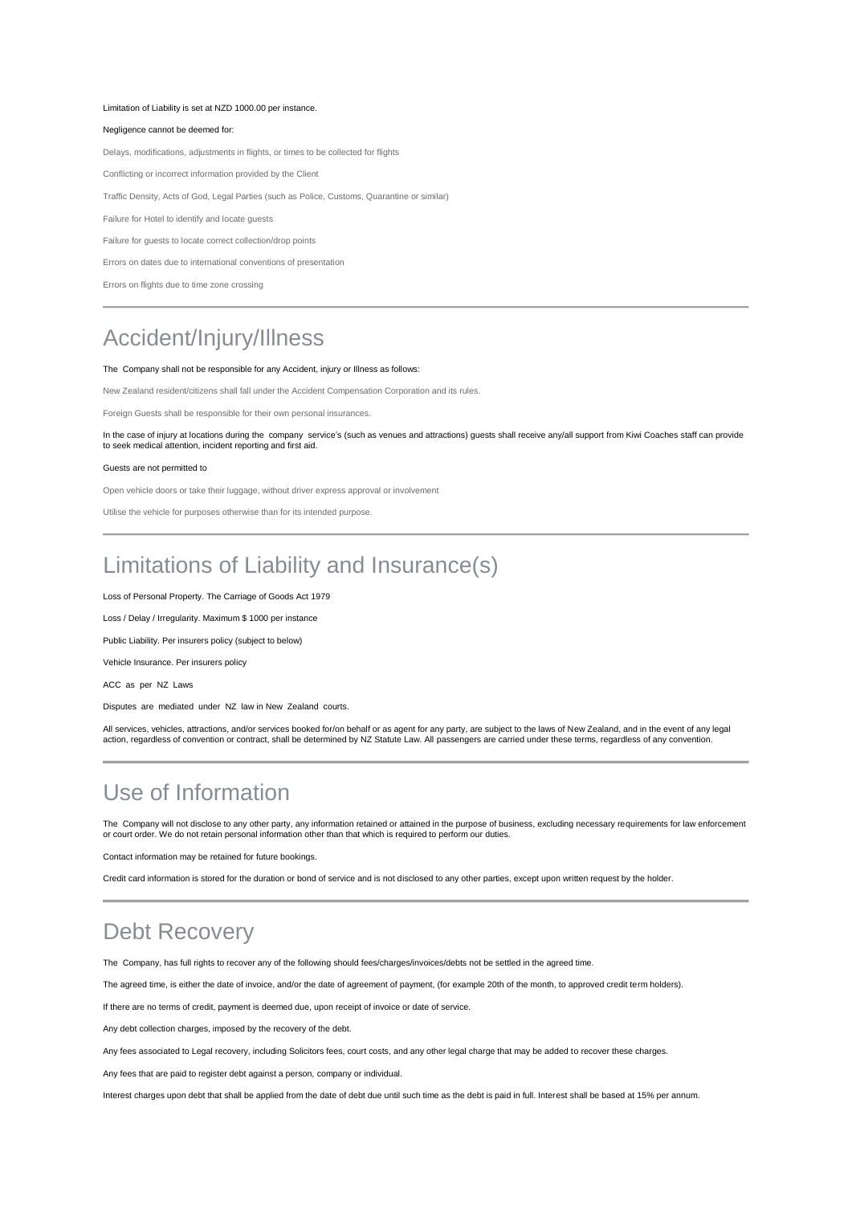#### Limitation of Liability is set at NZD 1000.00 per instance.

### Negligence cannot be deemed for:

Delays, modifications, adjustments in flights, or times to be collected for flights

Conflicting or incorrect information provided by the Client

Traffic Density, Acts of God, Legal Parties (such as Police, Customs, Quarantine or similar)

Failure for Hotel to identify and locate guests

Failure for guests to locate correct collection/drop points

Errors on dates due to international conventions of presentation

Errors on flights due to time zone crossing

## Accident/Injury/Illness

### The Company shall not be responsible for any Accident, injury or Illness as follows:

New Zealand resident/citizens shall fall under the Accident Compensation Corporation and its rules.

Foreign Guests shall be responsible for their own personal insurances.

In the case of injury at locations during the company service's (such as venues and attractions) guests shall receive any/all support from Kiwi Coaches staff can provide<br>to seek medical attention, incident reporting and fi

#### Guests are not permitted to

Open vehicle doors or take their luggage, without driver express approval or involvement

Utilise the vehicle for purposes otherwise than for its intended purpose.

## Limitations of Liability and Insurance(s)

Loss of Personal Property. The Carriage of Goods Act 1979

Loss / Delay / Irregularity. Maximum \$ 1000 per instance

Public Liability. Per insurers policy (subject to below)

Vehicle Insurance. Per insurers policy

ACC as per NZ Laws

Disputes are mediated under NZ law in New Zealand courts.

All services, vehicles, attractions, and/or services booked for/on behalf or as agent for any party, are subject to the laws of New Zealand, and in the event of any legal action, regardless of convention or contract, shall be determined by NZ Statute Law. All passengers are carried under these terms, regardless of any convention.

### Use of Information

The Company will not disclose to any other party, any information retained or attained in the purpose of business, excluding necessary requirements for law enforcement or court order. We do not retain personal information other than that which is required to perform our duties.

Contact information may be retained for future bookings.

Credit card information is stored for the duration or bond of service and is not disclosed to any other parties, except upon written request by the holder.

## Debt Recovery

The Company, has full rights to recover any of the following should fees/charges/invoices/debts not be settled in the agreed time.

The agreed time, is either the date of invoice, and/or the date of agreement of payment, (for example 20th of the month, to approved credit term holders).

If there are no terms of credit, payment is deemed due, upon receipt of invoice or date of service.

Any debt collection charges, imposed by the recovery of the debt.

Any fees associated to Legal recovery, including Solicitors fees, court costs, and any other legal charge that may be added to recover these charges.

Any fees that are paid to register debt against a person, company or individual.

Interest charges upon debt that shall be applied from the date of debt due until such time as the debt is paid in full. Interest shall be based at 15% per annum.